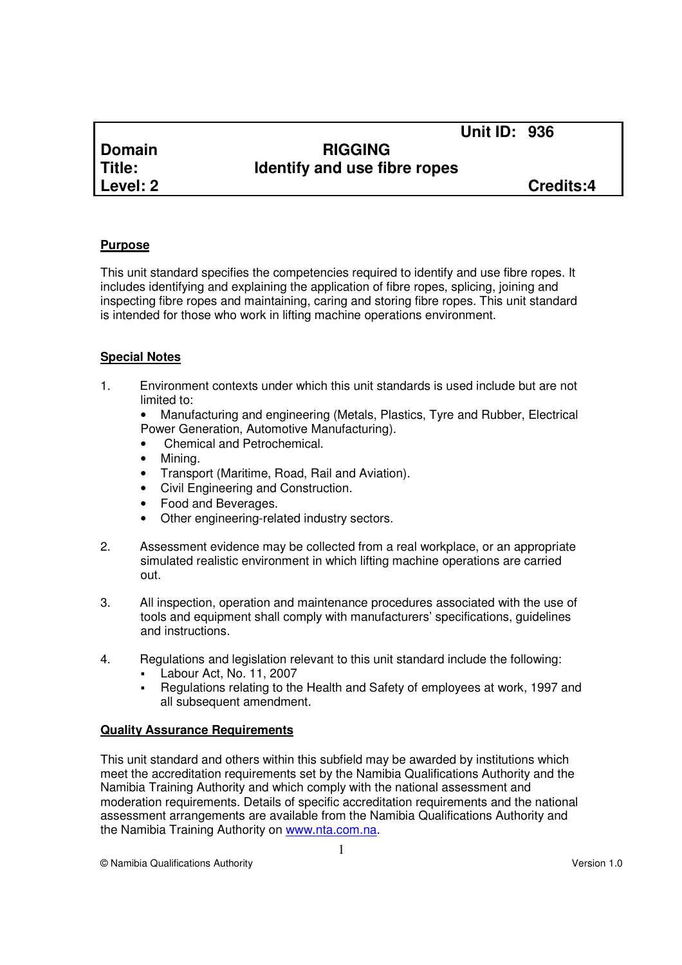**Level: 2 Credits:4**

## **Domain RIGGING Title: Identify and use fibre ropes**

**Unit ID: 936**

### **Purpose**

This unit standard specifies the competencies required to identify and use fibre ropes. It includes identifying and explaining the application of fibre ropes, splicing, joining and inspecting fibre ropes and maintaining, caring and storing fibre ropes. This unit standard is intended for those who work in lifting machine operations environment.

### **Special Notes**

1. Environment contexts under which this unit standards is used include but are not limited to:

• Manufacturing and engineering (Metals, Plastics, Tyre and Rubber, Electrical Power Generation, Automotive Manufacturing).

- Chemical and Petrochemical.
- Mining.
- Transport (Maritime, Road, Rail and Aviation).
- Civil Engineering and Construction.
- Food and Beverages.
- Other engineering-related industry sectors.
- 2. Assessment evidence may be collected from a real workplace, or an appropriate simulated realistic environment in which lifting machine operations are carried out.
- 3. All inspection, operation and maintenance procedures associated with the use of tools and equipment shall comply with manufacturers' specifications, guidelines and instructions.
- 4. Regulations and legislation relevant to this unit standard include the following:
	- Labour Act, No. 11, 2007
	- Regulations relating to the Health and Safety of employees at work, 1997 and all subsequent amendment.

#### **Quality Assurance Requirements**

This unit standard and others within this subfield may be awarded by institutions which meet the accreditation requirements set by the Namibia Qualifications Authority and the Namibia Training Authority and which comply with the national assessment and moderation requirements. Details of specific accreditation requirements and the national assessment arrangements are available from the Namibia Qualifications Authority and the Namibia Training Authority on www.nta.com.na.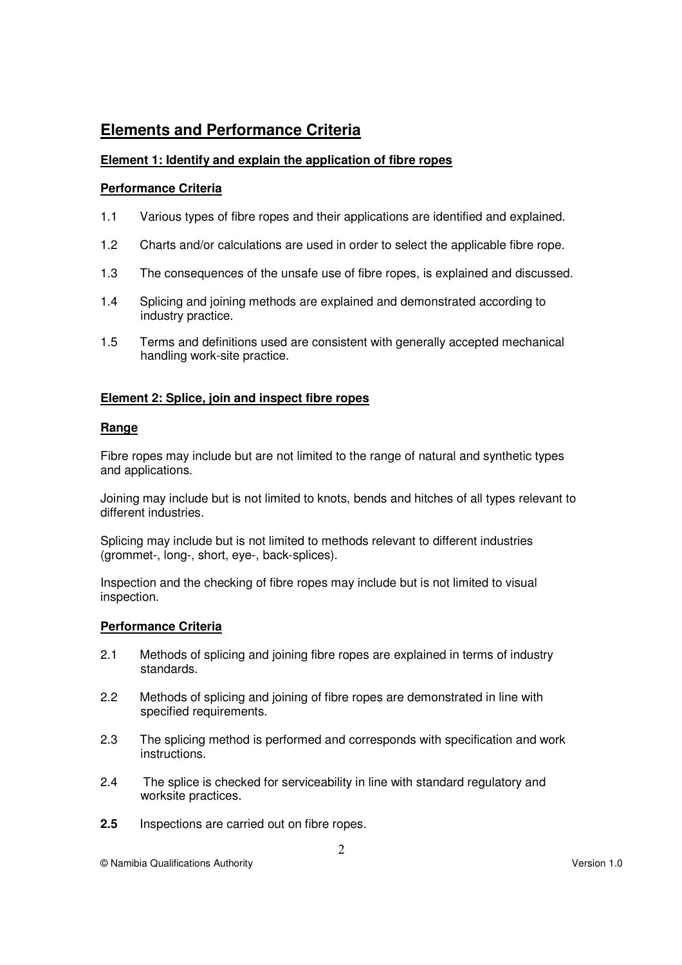# **Elements and Performance Criteria**

#### **Element 1: Identify and explain the application of fibre ropes**

#### **Performance Criteria**

- 1.1 Various types of fibre ropes and their applications are identified and explained.
- 1.2 Charts and/or calculations are used in order to select the applicable fibre rope.
- 1.3 The consequences of the unsafe use of fibre ropes, is explained and discussed.
- 1.4 Splicing and joining methods are explained and demonstrated according to industry practice.
- 1.5 Terms and definitions used are consistent with generally accepted mechanical handling work-site practice.

#### **Element 2: Splice, join and inspect fibre ropes**

#### **Range**

Fibre ropes may include but are not limited to the range of natural and synthetic types and applications.

Joining may include but is not limited to knots, bends and hitches of all types relevant to different industries.

Splicing may include but is not limited to methods relevant to different industries (grommet-, long-, short, eye-, back-splices).

Inspection and the checking of fibre ropes may include but is not limited to visual inspection.

#### **Performance Criteria**

- 2.1 Methods of splicing and joining fibre ropes are explained in terms of industry standards.
- 2.2 Methods of splicing and joining of fibre ropes are demonstrated in line with specified requirements.
- 2.3 The splicing method is performed and corresponds with specification and work instructions.
- 2.4 The splice is checked for serviceability in line with standard regulatory and worksite practices.
- **2.5** Inspections are carried out on fibre ropes.